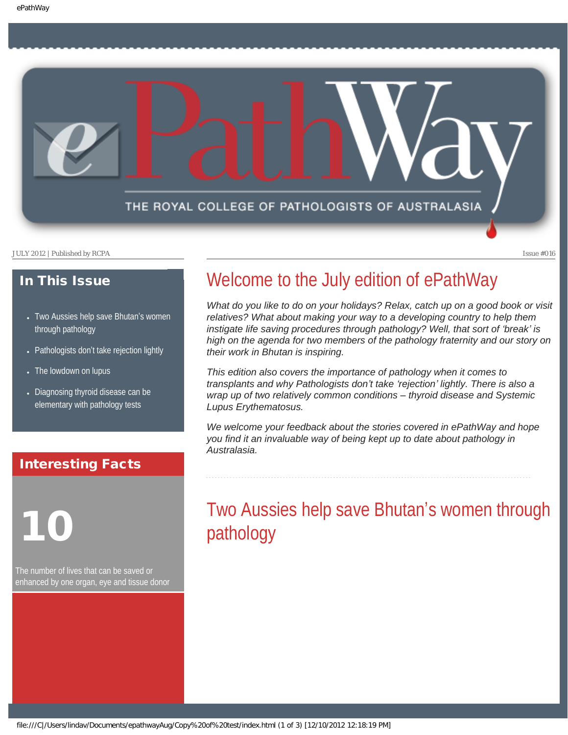<span id="page-0-1"></span>

#### In This Issue

- [Two Aussies help save Bhutan](#page-0-0)'s women [through pathology](#page-0-0)
- Pathologists don'[t take rejection lightly](#page-1-0)
- [The lowdown on lupus](#page-1-1)
- Diagnosing thyroid disease can be [elementary with pathology tests](#page-2-0)

#### Interesting Facts

<span id="page-0-0"></span>

The number of lives that can be saved or enhanced by one organ, eye and tissue donor

### Welcome to the July edition of ePathWay

*What do you like to do on your holidays? Relax, catch up on a good book or visit relatives? What about making your way to a developing country to help them instigate life saving procedures through pathology? Well, that sort of 'break' is high on the agenda for two members of the pathology fraternity and our story on their work in Bhutan is inspiring.*

*This edition also covers the importance of pathology when it comes to transplants and why Pathologists don't take 'rejection' lightly. There is also a wrap up of two relatively common conditions – thyroid disease and Systemic Lupus Erythematosus.*

*We welcome your feedback about the stories covered in ePathWay and hope you find it an invaluable way of being kept up to date about pathology in Australasia.*

### Two Aussies help save Bhutan's women through pathology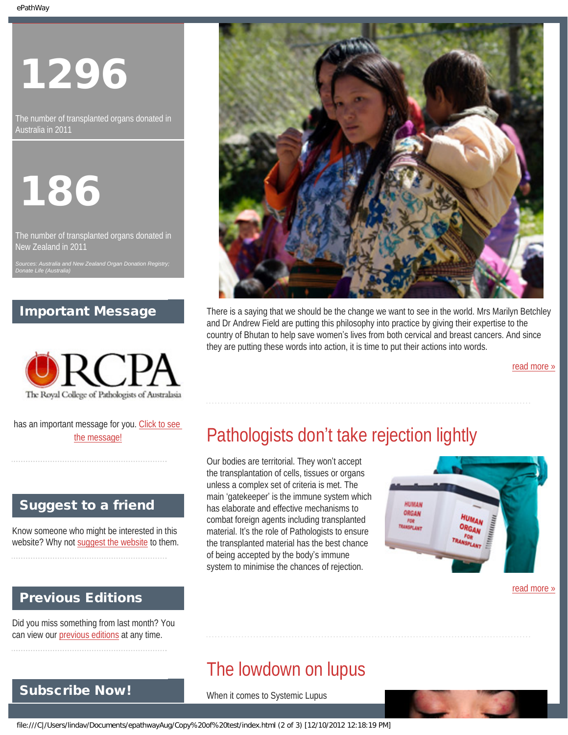# 1296

The number of transplanted organs donated in Australia in 2011



The number of transplanted organs donated in New Zealand in 2011

*Sources: Australia and New Zealand Organ Donation Registry; Donate Life (Australia)*

#### Important Message



<span id="page-1-0"></span>has an important message for you. [Click to see](file:///C|/Users/lindav/Documents/epathwayAug/Copy%20of%20test/notice.html) [the message!](file:///C|/Users/lindav/Documents/epathwayAug/Copy%20of%20test/notice.html)

#### Suggest to a friend

Know someone who might be interested in this website? Why not [suggest the website](mailto:?Subject=I%20think%20you%20should%20read%20this%20Newsletter=
http://epathway.rcpa.edu.au/index.html) to them.

### Previous Editions

<span id="page-1-1"></span>Subscribe Now!

Did you miss something from last month? You can view our [previous editions](file:///C|/Users/lindav/Documents/epathwayAug/Copy%20of%20test/previous.html) at any time.

There is a saying that we should be the change we want to see in the world. Mrs Marilyn Betchley and Dr Andrew Field are putting this philosophy into practice by giving their expertise to the country of Bhutan to help save women's lives from both cervical and breast cancers. And since they are putting these words into action, it is time to put their actions into words.

[read more »](#page-3-0)

## Pathologists don't take rejection lightly

Our bodies are territorial. They won't accept the transplantation of cells, tissues or organs unless a complex set of criteria is met. The main 'gatekeeper' is the immune system which has elaborate and effective mechanisms to combat foreign agents including transplanted material. It's the role of Pathologists to ensure the transplanted material has the best chance of being accepted by the body's immune system to minimise the chances of rejection.



[read more »](#page-6-0)

### The lowdown on lupus

When it comes to Systemic Lupus

file:///C|/Users/lindav/Documents/epathwayAug/Copy%20of%20test/index.html (2 of 3) [12/10/2012 12:18:19 PM]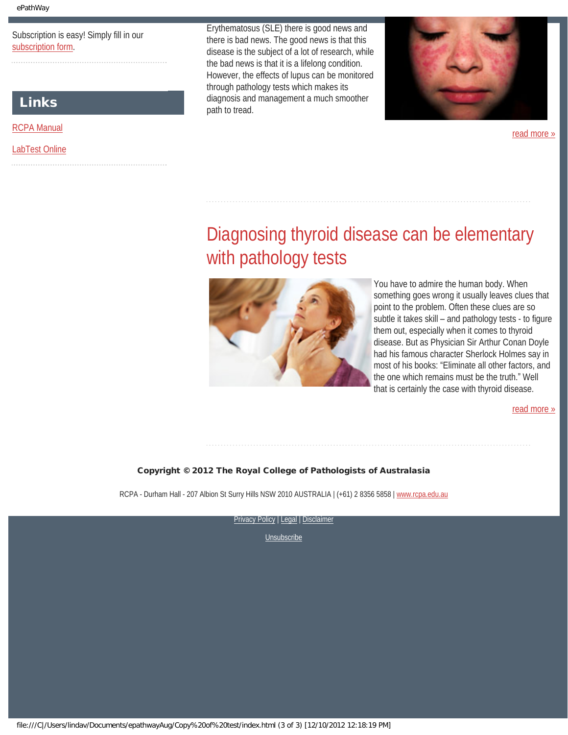Subscription is easy! Simply fill in our [subscription form.](file:///C|/Users/lindav/Documents/epathwayAug/Copy%20of%20test/subscription.html)

#### Links

[RCPA Manual](http://rcpamanual.edu.au/)

#### <span id="page-2-0"></span>[LabTest Online](http://www.labtestsonline.org.au/)

Erythematosus (SLE) there is good news and there is bad news. The good news is that this disease is the subject of a lot of research, while the bad news is that it is a lifelong condition. However, the effects of lupus can be monitored through pathology tests which makes its diagnosis and management a much smoother path to tread.



[read more »](#page-8-0)

### Diagnosing thyroid disease can be elementary with pathology tests



You have to admire the human body. When something goes wrong it usually leaves clues that point to the problem. Often these clues are so subtle it takes skill – and pathology tests - to figure them out, especially when it comes to thyroid disease. But as Physician Sir Arthur Conan Doyle had his famous character Sherlock Holmes say in most of his books: "Eliminate all other factors, and the one which remains must be the truth." Well that is certainly the case with thyroid disease.

[read more »](#page-10-0)

#### Copyright © 2012 The Royal College of Pathologists of Australasia

RCPA - Durham Hall - 207 Albion St Surry Hills NSW 2010 AUSTRALIA | (+61) 2 8356 5858 | [www.rcpa.edu.au](http://www.rcpa.edu.au/)

[Privacy Policy](http://www.rcpa.edu.au/Privacy.htm) | [Legal](http://www.rcpa.edu.au/Legal.htm) | Disclaimer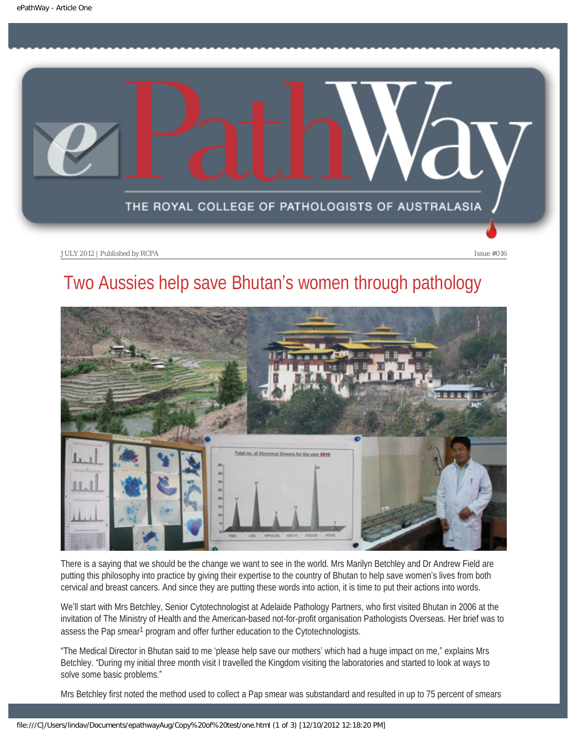<span id="page-3-0"></span>

### Two Aussies help save Bhutan's women through pathology



There is a saying that we should be the change we want to see in the world. Mrs Marilyn Betchley and Dr Andrew Field are putting this philosophy into practice by giving their expertise to the country of Bhutan to help save women's lives from both cervical and breast cancers. And since they are putting these words into action, it is time to put their actions into words.

We'll start with Mrs Betchley, Senior Cytotechnologist at Adelaide Pathology Partners, who first visited Bhutan in 2006 at the invitation of The Ministry of Health and the American-based not-for-profit organisation Pathologists Overseas. Her brief was to assess the Pap smear<sup>1</sup> program and offer further education to the Cytotechnologists.

"The Medical Director in Bhutan said to me 'please help save our mothers' which had a huge impact on me," explains Mrs Betchley. "During my initial three month visit I travelled the Kingdom visiting the laboratories and started to look at ways to solve some basic problems."

Mrs Betchley first noted the method used to collect a Pap smear was substandard and resulted in up to 75 percent of smears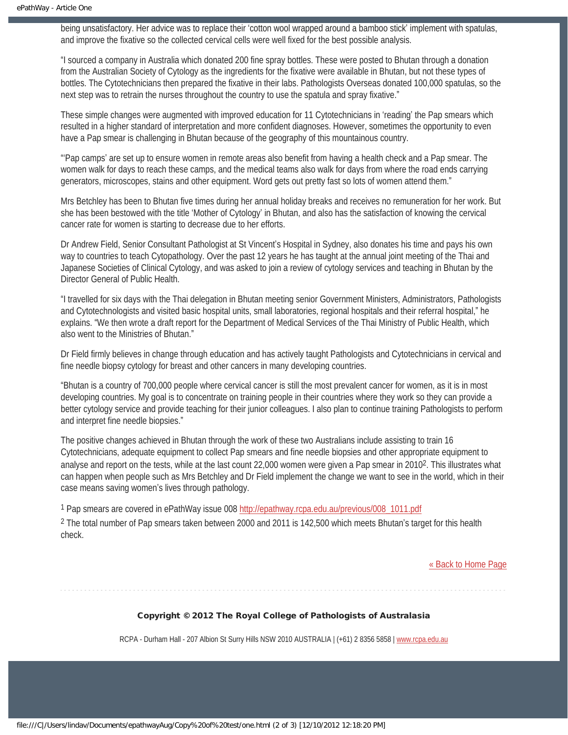being unsatisfactory. Her advice was to replace their 'cotton wool wrapped around a bamboo stick' implement with spatulas, and improve the fixative so the collected cervical cells were well fixed for the best possible analysis.

"I sourced a company in Australia which donated 200 fine spray bottles. These were posted to Bhutan through a donation from the Australian Society of Cytology as the ingredients for the fixative were available in Bhutan, but not these types of bottles. The Cytotechnicians then prepared the fixative in their labs. Pathologists Overseas donated 100,000 spatulas, so the next step was to retrain the nurses throughout the country to use the spatula and spray fixative."

These simple changes were augmented with improved education for 11 Cytotechnicians in 'reading' the Pap smears which resulted in a higher standard of interpretation and more confident diagnoses. However, sometimes the opportunity to even have a Pap smear is challenging in Bhutan because of the geography of this mountainous country.

"'Pap camps' are set up to ensure women in remote areas also benefit from having a health check and a Pap smear. The women walk for days to reach these camps, and the medical teams also walk for days from where the road ends carrying generators, microscopes, stains and other equipment. Word gets out pretty fast so lots of women attend them."

Mrs Betchley has been to Bhutan five times during her annual holiday breaks and receives no remuneration for her work. But she has been bestowed with the title 'Mother of Cytology' in Bhutan, and also has the satisfaction of knowing the cervical cancer rate for women is starting to decrease due to her efforts.

Dr Andrew Field, Senior Consultant Pathologist at St Vincent's Hospital in Sydney, also donates his time and pays his own way to countries to teach Cytopathology. Over the past 12 years he has taught at the annual joint meeting of the Thai and Japanese Societies of Clinical Cytology, and was asked to join a review of cytology services and teaching in Bhutan by the Director General of Public Health.

"I travelled for six days with the Thai delegation in Bhutan meeting senior Government Ministers, Administrators, Pathologists and Cytotechnologists and visited basic hospital units, small laboratories, regional hospitals and their referral hospital," he explains. "We then wrote a draft report for the Department of Medical Services of the Thai Ministry of Public Health, which also went to the Ministries of Bhutan."

Dr Field firmly believes in change through education and has actively taught Pathologists and Cytotechnicians in cervical and fine needle biopsy cytology for breast and other cancers in many developing countries.

"Bhutan is a country of 700,000 people where cervical cancer is still the most prevalent cancer for women, as it is in most developing countries. My goal is to concentrate on training people in their countries where they work so they can provide a better cytology service and provide teaching for their junior colleagues. I also plan to continue training Pathologists to perform and interpret fine needle biopsies."

The positive changes achieved in Bhutan through the work of these two Australians include assisting to train 16 Cytotechnicians, adequate equipment to collect Pap smears and fine needle biopsies and other appropriate equipment to analyse and report on the tests, while at the last count 22,000 women were given a Pap smear in 20102. This illustrates what can happen when people such as Mrs Betchley and Dr Field implement the change we want to see in the world, which in their case means saving women's lives through pathology.

1 Pap smears are covered in ePathWay issue 008 [http://epathway.rcpa.edu.au/previous/008\\_1011.pdf](http://epathway.rcpa.edu.au/previous/008_1011.pdf) 2 The total number of Pap smears taken between 2000 and 2011 is 142,500 which meets Bhutan's target for this health check.

[« Back to Home Page](#page-0-1)

#### Copyright © 2012 The Royal College of Pathologists of Australasia

RCPA - Durham Hall - 207 Albion St Surry Hills NSW 2010 AUSTRALIA | (+61) 2 8356 5858 | [www.rcpa.edu.au](http://www.rcpa.edu.au/)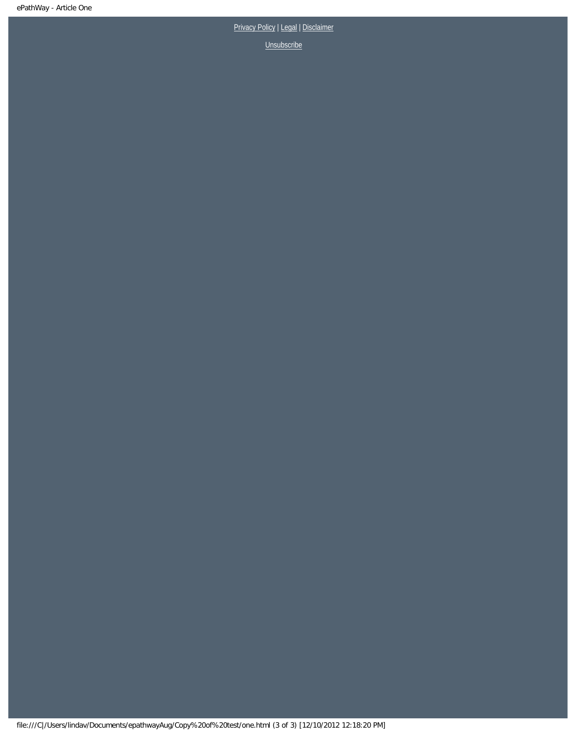[Privacy Policy](http://www.rcpa.edu.au/Privacy.htm) | [Legal](http://www.rcpa.edu.au/Legal.htm) | Disclaimer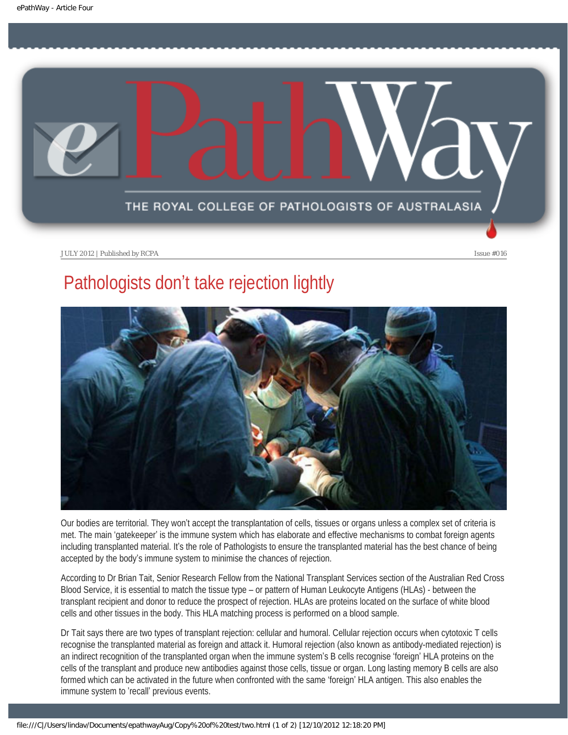<span id="page-6-0"></span>

### Pathologists don't take rejection lightly



Our bodies are territorial. They won't accept the transplantation of cells, tissues or organs unless a complex set of criteria is met. The main 'gatekeeper' is the immune system which has elaborate and effective mechanisms to combat foreign agents including transplanted material. It's the role of Pathologists to ensure the transplanted material has the best chance of being accepted by the body's immune system to minimise the chances of rejection.

According to Dr Brian Tait, Senior Research Fellow from the National Transplant Services section of the Australian Red Cross Blood Service, it is essential to match the tissue type – or pattern of Human Leukocyte Antigens (HLAs) - between the transplant recipient and donor to reduce the prospect of rejection. HLAs are proteins located on the surface of white blood cells and other tissues in the body. This HLA matching process is performed on a blood sample.

Dr Tait says there are two types of transplant rejection: cellular and humoral. Cellular rejection occurs when cytotoxic T cells recognise the transplanted material as foreign and attack it. Humoral rejection (also known as antibody-mediated rejection) is an indirect recognition of the transplanted organ when the immune system's B cells recognise 'foreign' HLA proteins on the cells of the transplant and produce new antibodies against those cells, tissue or organ. Long lasting memory B cells are also formed which can be activated in the future when confronted with the same 'foreign' HLA antigen. This also enables the immune system to 'recall' previous events.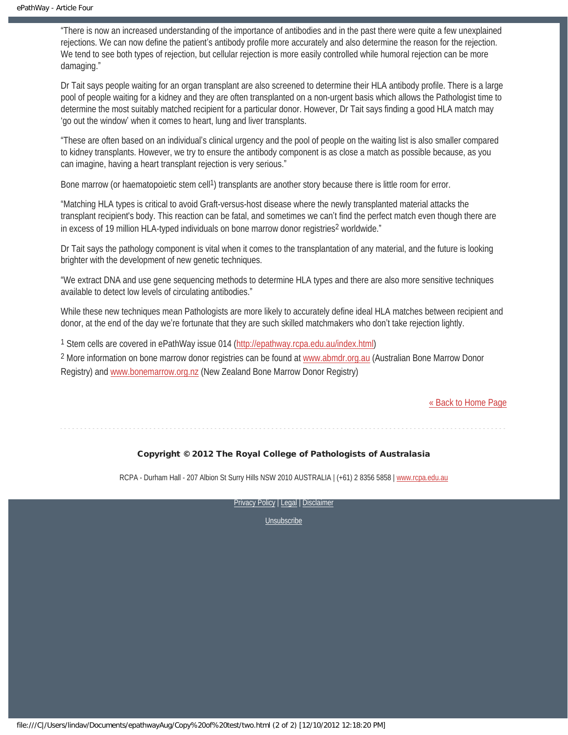"There is now an increased understanding of the importance of antibodies and in the past there were quite a few unexplained rejections. We can now define the patient's antibody profile more accurately and also determine the reason for the rejection. We tend to see both types of rejection, but cellular rejection is more easily controlled while humoral rejection can be more damaging."

Dr Tait says people waiting for an organ transplant are also screened to determine their HLA antibody profile. There is a large pool of people waiting for a kidney and they are often transplanted on a non-urgent basis which allows the Pathologist time to determine the most suitably matched recipient for a particular donor. However, Dr Tait says finding a good HLA match may 'go out the window' when it comes to heart, lung and liver transplants.

"These are often based on an individual's clinical urgency and the pool of people on the waiting list is also smaller compared to kidney transplants. However, we try to ensure the antibody component is as close a match as possible because, as you can imagine, having a heart transplant rejection is very serious."

Bone marrow (or haematopoietic stem cell<sup>1</sup>) transplants are another story because there is little room for error.

"Matching HLA types is critical to avoid Graft-versus-host disease where the newly transplanted material attacks the transplant recipient's body. This reaction can be fatal, and sometimes we can't find the perfect match even though there are in excess of 19 million HLA-typed individuals on bone marrow donor registries<sup>2</sup> worldwide."

Dr Tait says the pathology component is vital when it comes to the transplantation of any material, and the future is looking brighter with the development of new genetic techniques.

"We extract DNA and use gene sequencing methods to determine HLA types and there are also more sensitive techniques available to detect low levels of circulating antibodies."

While these new techniques mean Pathologists are more likely to accurately define ideal HLA matches between recipient and donor, at the end of the day we're fortunate that they are such skilled matchmakers who don't take rejection lightly.

1 Stem cells are covered in ePathWay issue 014 ([http://epathway.rcpa.edu.au/index.html\)](http://epathway.rcpa.edu.au/index.html)

2 More information on bone marrow donor registries can be found at [www.abmdr.org.au](file:///C|/Users/lindav/Documents/epathwayAug/Copy%20of%20test/www.abmdr.org.au) (Australian Bone Marrow Donor Registry) and [www.bonemarrow.org.nz](file:///C|/Users/lindav/Documents/epathwayAug/Copy%20of%20test/www.bonemarrow.org.nz) (New Zealand Bone Marrow Donor Registry)

[« Back to Home Page](#page-0-1)

#### Copyright © 2012 The Royal College of Pathologists of Australasia

RCPA - Durham Hall - 207 Albion St Surry Hills NSW 2010 AUSTRALIA | (+61) 2 8356 5858 | [www.rcpa.edu.au](http://www.rcpa.edu.au/)

[Privacy Policy](http://www.rcpa.edu.au/Privacy.htm) | [Legal](http://www.rcpa.edu.au/Legal.htm) | Disclaimer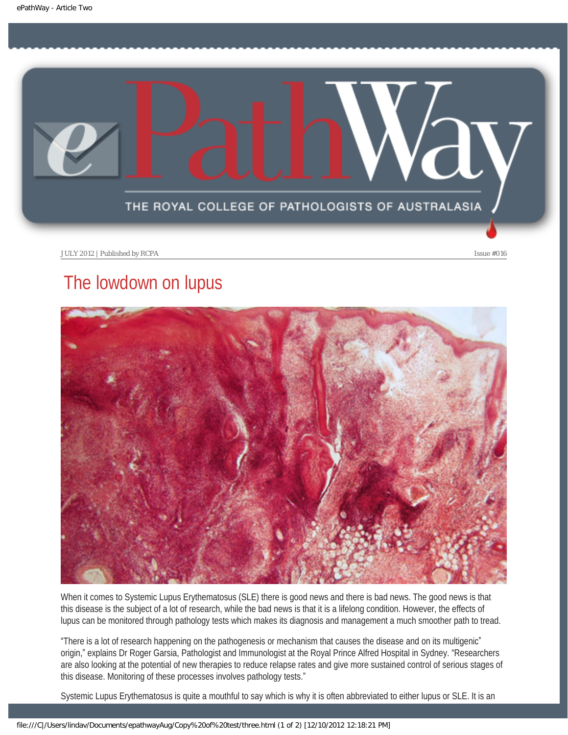<span id="page-8-0"></span>

### The lowdown on lupus



When it comes to Systemic Lupus Erythematosus (SLE) there is good news and there is bad news. The good news is that this disease is the subject of a lot of research, while the bad news is that it is a lifelong condition. However, the effects of lupus can be monitored through pathology tests which makes its diagnosis and management a much smoother path to tread.

"There is a lot of research happening on the pathogenesis or mechanism that causes the disease and on its multigenic\* origin," explains Dr Roger Garsia, Pathologist and Immunologist at the Royal Prince Alfred Hospital in Sydney. "Researchers are also looking at the potential of new therapies to reduce relapse rates and give more sustained control of serious stages of this disease. Monitoring of these processes involves pathology tests."

Systemic Lupus Erythematosus is quite a mouthful to say which is why it is often abbreviated to either lupus or SLE. It is an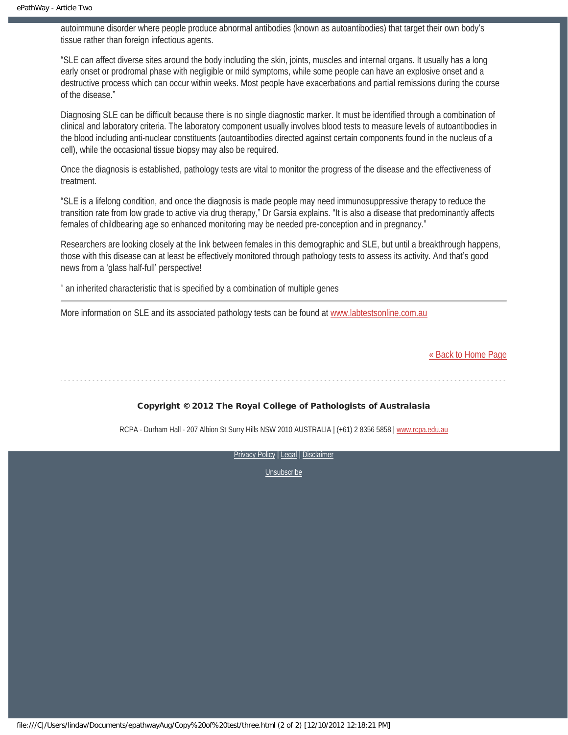autoimmune disorder where people produce abnormal antibodies (known as autoantibodies) that target their own body's tissue rather than foreign infectious agents.

"SLE can affect diverse sites around the body including the skin, joints, muscles and internal organs. It usually has a long early onset or prodromal phase with negligible or mild symptoms, while some people can have an explosive onset and a destructive process which can occur within weeks. Most people have exacerbations and partial remissions during the course of the disease."

Diagnosing SLE can be difficult because there is no single diagnostic marker. It must be identified through a combination of clinical and laboratory criteria. The laboratory component usually involves blood tests to measure levels of autoantibodies in the blood including anti-nuclear constituents (autoantibodies directed against certain components found in the nucleus of a cell), while the occasional tissue biopsy may also be required.

Once the diagnosis is established, pathology tests are vital to monitor the progress of the disease and the effectiveness of treatment.

"SLE is a lifelong condition, and once the diagnosis is made people may need immunosuppressive therapy to reduce the transition rate from low grade to active via drug therapy," Dr Garsia explains. "It is also a disease that predominantly affects females of childbearing age so enhanced monitoring may be needed pre-conception and in pregnancy."

Researchers are looking closely at the link between females in this demographic and SLE, but until a breakthrough happens, those with this disease can at least be effectively monitored through pathology tests to assess its activity. And that's good news from a 'glass half-full' perspective!

\* an inherited characteristic that is specified by a combination of multiple genes

More information on SLE and its associated pathology tests can be found at [www.labtestsonline.com.au](file:///C|/Users/lindav/Documents/epathwayAug/Copy%20of%20test/www.labtestsonline.com.au)

[« Back to Home Page](#page-0-1)

Copyright © 2012 The Royal College of Pathologists of Australasia

RCPA - Durham Hall - 207 Albion St Surry Hills NSW 2010 AUSTRALIA | (+61) 2 8356 5858 | [www.rcpa.edu.au](http://www.rcpa.edu.au/)

[Privacy Policy](http://www.rcpa.edu.au/Privacy.htm) | [Legal](http://www.rcpa.edu.au/Legal.htm) | Disclaimer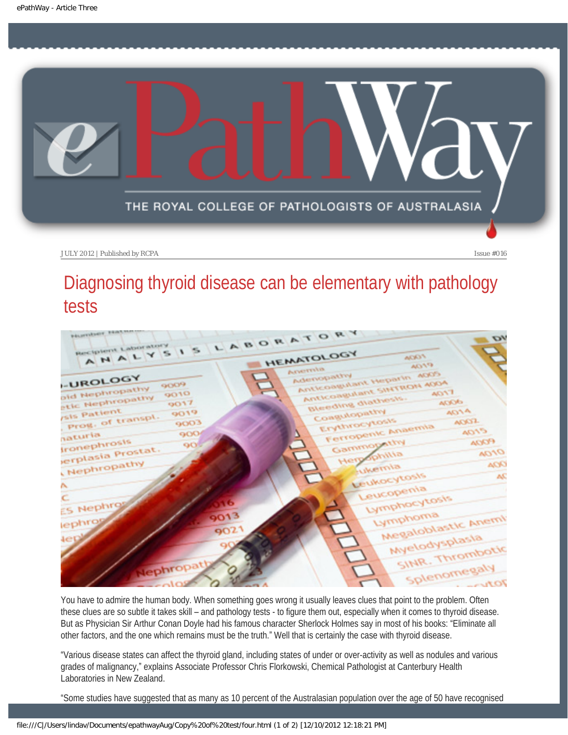<span id="page-10-0"></span>

### Diagnosing thyroid disease can be elementary with pathology tests



You have to admire the human body. When something goes wrong it usually leaves clues that point to the problem. Often these clues are so subtle it takes skill – and pathology tests - to figure them out, especially when it comes to thyroid disease. But as Physician Sir Arthur Conan Doyle had his famous character Sherlock Holmes say in most of his books: "Eliminate all other factors, and the one which remains must be the truth." Well that is certainly the case with thyroid disease.

"Various disease states can affect the thyroid gland, including states of under or over-activity as well as nodules and various grades of malignancy," explains Associate Professor Chris Florkowski, Chemical Pathologist at Canterbury Health Laboratories in New Zealand.

"Some studies have suggested that as many as 10 percent of the Australasian population over the age of 50 have recognised